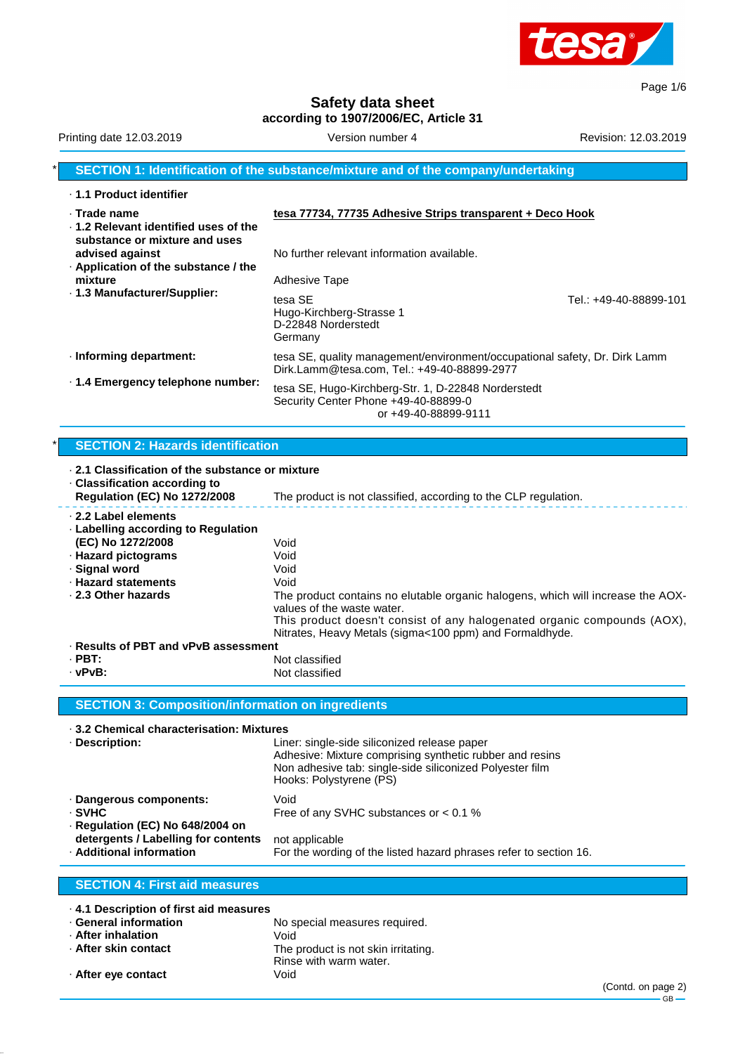

Page 1/6

**Safety data sheet according to 1907/2006/EC, Article 31**

## Printing date 12.03.2019 **Version number 4** Revision: 12.03.2019 **Revision: 12.03.2019 SECTION 1: Identification of the substance/mixture and of the company/undertaking** · **1.1 Product identifier** · **Trade name tesa 77734, 77735 Adhesive Strips transparent + Deco Hook** · **1.2 Relevant identified uses of the substance or mixture and uses** No further relevant information available. · **Application of the substance / the mixture** Adhesive Tape · **1.3 Manufacturer/Supplier:** tesa SE Tel.: +49-40-88899-101 Hugo-Kirchberg-Strasse 1 D-22848 Norderstedt Germany · **Informing department:** tesa SE, quality management/environment/occupational safety, Dr. Dirk Lamm Dirk.Lamm@tesa.com, Tel.: +49-40-88899-2977 · **1.4 Emergency telephone number:** tesa SE, Hugo-Kirchberg-Str. 1, D-22848 Norderstedt Security Center Phone +49-40-88899-0 or +49-40-88899-9111

### **SECTION 2: Hazards identification**

| ⋅ 2.1 Classification of the substance or mixture<br>$\cdot$ Classification according to |                                                                                                                                     |  |  |
|-----------------------------------------------------------------------------------------|-------------------------------------------------------------------------------------------------------------------------------------|--|--|
| <b>Regulation (EC) No 1272/2008</b>                                                     | The product is not classified, according to the CLP regulation.                                                                     |  |  |
| 2.2 Label elements<br>$\cdot$ Labelling according to Regulation<br>(EC) No 1272/2008    | Void                                                                                                                                |  |  |
| · Hazard pictograms                                                                     | Void                                                                                                                                |  |  |
| · Signal word                                                                           | Void                                                                                                                                |  |  |
| <b>· Hazard statements</b>                                                              | Void                                                                                                                                |  |  |
| 2.3 Other hazards                                                                       | The product contains no elutable organic halogens, which will increase the AOX-<br>values of the waste water.                       |  |  |
|                                                                                         | This product doesn't consist of any halogenated organic compounds (AOX),<br>Nitrates, Heavy Metals (sigma<100 ppm) and Formaldhyde. |  |  |
| · Results of PBT and vPvB assessment                                                    |                                                                                                                                     |  |  |
| $\cdot$ PBT:                                                                            | Not classified                                                                                                                      |  |  |
| · vPvB:                                                                                 | Not classified                                                                                                                      |  |  |
|                                                                                         |                                                                                                                                     |  |  |
| <b>SECTION 3: Composition/information on ingredients</b>                                |                                                                                                                                     |  |  |
| .3.2 Chemical characterisation: Mixtures                                                |                                                                                                                                     |  |  |

| · Description:                                                        | Liner: single-side siliconized release paper<br>Adhesive: Mixture comprising synthetic rubber and resins<br>Non adhesive tab: single-side siliconized Polyester film<br>Hooks: Polystyrene (PS) |  |
|-----------------------------------------------------------------------|-------------------------------------------------------------------------------------------------------------------------------------------------------------------------------------------------|--|
| · Dangerous components:<br>· SVHC<br>· Regulation (EC) No 648/2004 on | Void<br>Free of any SVHC substances or $< 0.1$ %                                                                                                                                                |  |
| detergents / Labelling for contents<br>· Additional information       | not applicable<br>For the wording of the listed hazard phrases refer to section 16.                                                                                                             |  |

#### **SECTION 4: First aid measures**

| 4.1 Description of first aid measures |                                     |
|---------------------------------------|-------------------------------------|
| ⋅ General information                 | No special measures required.       |
| · After inhalation                    | Void                                |
| ⋅ After skin contact                  | The product is not skin irritating. |
|                                       | Rinse with warm water.              |
| · After eye contact                   | Void                                |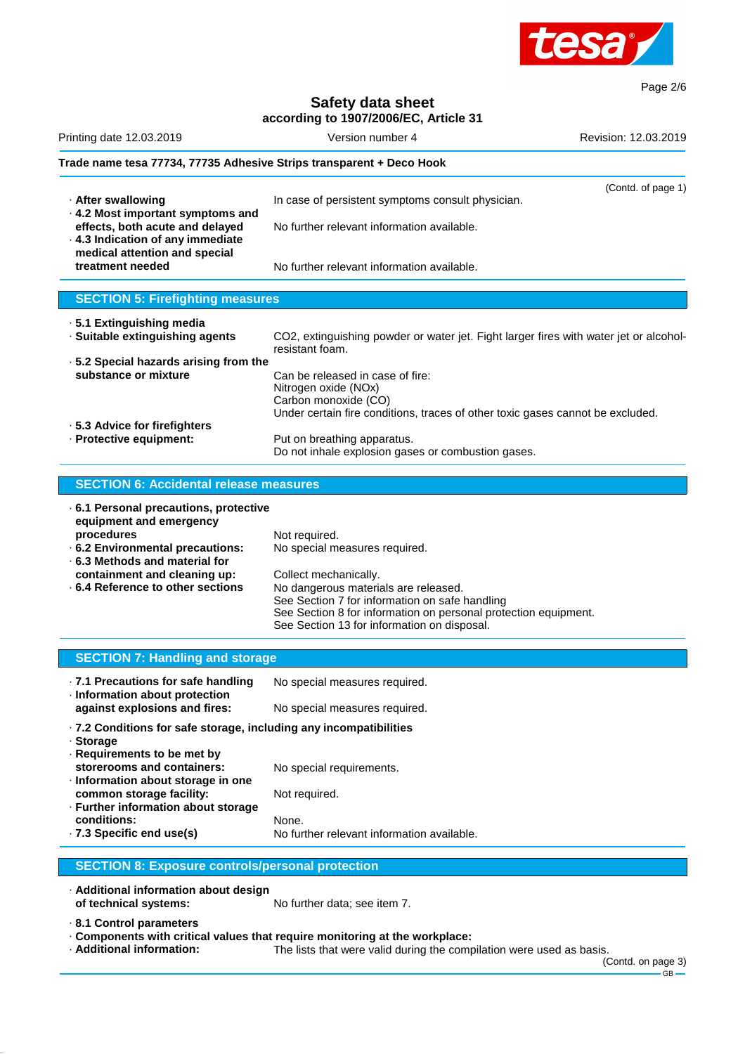

Page 2/6

# **Safety data sheet**

| according to 1907/2006/EC, Article 31                                                                    |                                                                                                          |                      |  |
|----------------------------------------------------------------------------------------------------------|----------------------------------------------------------------------------------------------------------|----------------------|--|
| Printing date 12.03.2019                                                                                 | Version number 4                                                                                         | Revision: 12.03.2019 |  |
| Trade name tesa 77734, 77735 Adhesive Strips transparent + Deco Hook                                     |                                                                                                          |                      |  |
|                                                                                                          |                                                                                                          | (Contd. of page 1)   |  |
| · After swallowing<br>. 4.2 Most important symptoms and                                                  | In case of persistent symptoms consult physician.                                                        |                      |  |
| effects, both acute and delayed<br>· 4.3 Indication of any immediate<br>medical attention and special    | No further relevant information available.                                                               |                      |  |
| treatment needed                                                                                         | No further relevant information available.                                                               |                      |  |
| <b>SECTION 5: Firefighting measures</b>                                                                  |                                                                                                          |                      |  |
| · 5.1 Extinguishing media                                                                                |                                                                                                          |                      |  |
| · Suitable extinguishing agents                                                                          | CO2, extinguishing powder or water jet. Fight larger fires with water jet or alcohol-<br>resistant foam. |                      |  |
| .5.2 Special hazards arising from the                                                                    |                                                                                                          |                      |  |
| substance or mixture<br>Can be released in case of fire:<br>Nitrogen oxide (NOx)<br>Carbon monoxide (CO) |                                                                                                          |                      |  |
|                                                                                                          | Under certain fire conditions, traces of other toxic gases cannot be excluded.                           |                      |  |
| ⋅ 5.3 Advice for firefighters                                                                            |                                                                                                          |                      |  |
| · Protective equipment:                                                                                  | Put on breathing apparatus.<br>Do not inhale explosion gases or combustion gases.                        |                      |  |
| <b>SECTION 6: Accidental release measures</b>                                                            |                                                                                                          |                      |  |
|                                                                                                          |                                                                                                          |                      |  |
| · 6.1 Personal precautions, protective<br>equipment and emergency                                        |                                                                                                          |                      |  |
|                                                                                                          | National distribution of                                                                                 |                      |  |

| equipment and emergency           |                                                                 |
|-----------------------------------|-----------------------------------------------------------------|
| procedures                        | Not required.                                                   |
| .6.2 Environmental precautions:   | No special measures required.                                   |
| ⋅ 6.3 Methods and material for    |                                                                 |
| containment and cleaning up:      | Collect mechanically.                                           |
| ⋅ 6.4 Reference to other sections | No dangerous materials are released.                            |
|                                   | See Section 7 for information on safe handling                  |
|                                   | See Section 8 for information on personal protection equipment. |
|                                   | See Section 13 for information on disposal.                     |

| <b>SECTION 7: Handling and storage</b>                                                                                     |                                            |  |
|----------------------------------------------------------------------------------------------------------------------------|--------------------------------------------|--|
| .7.1 Precautions for safe handling<br>· Information about protection                                                       | No special measures required.              |  |
| against explosions and fires:                                                                                              | No special measures required.              |  |
| $\cdot$ 7.2 Conditions for safe storage, including any incompatibilities<br>· Storage<br>$\cdot$ Requirements to be met by |                                            |  |
| storerooms and containers:<br>Information about storage in one                                                             | No special requirements.                   |  |
| common storage facility:<br>· Further information about storage                                                            | Not required.                              |  |
| conditions:                                                                                                                | None.                                      |  |
| $\cdot$ 7.3 Specific end use(s)                                                                                            | No further relevant information available. |  |
|                                                                                                                            |                                            |  |

## **SECTION 8: Exposure controls/personal protection**

· **Additional information about design**

No further data; see item 7.

· **8.1 Control parameters**

The lists that were valid during the compilation were used as basis.

(Contd. on page 3)

<sup>·</sup> **Components with critical values that require monitoring at the workplace:**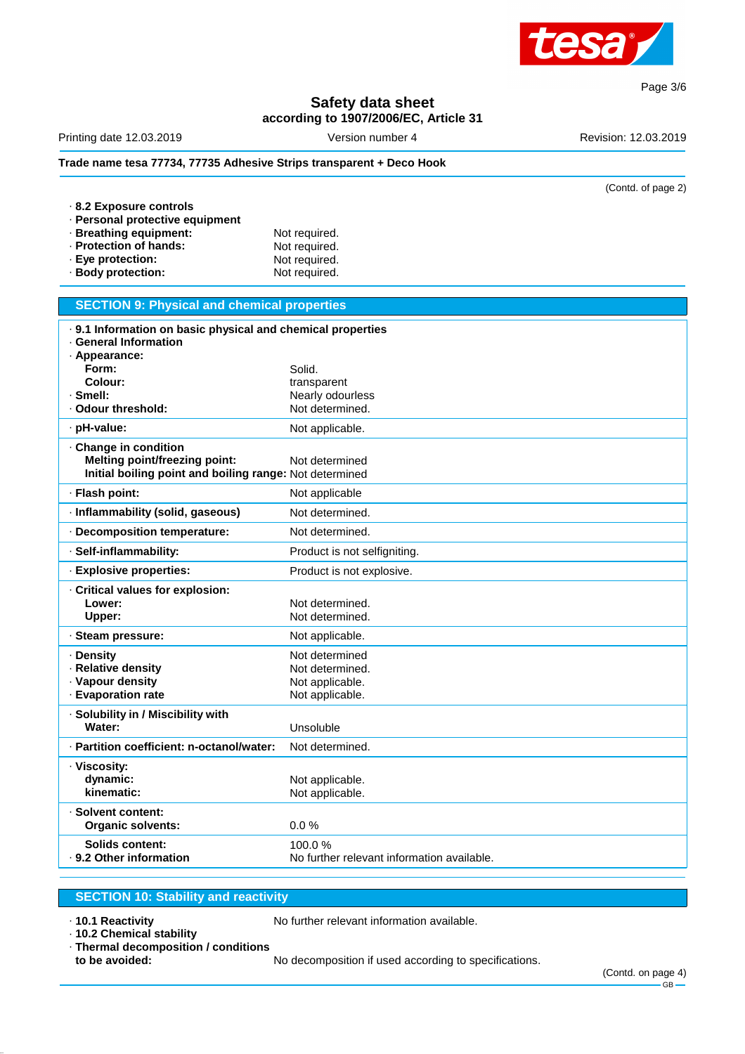

**Safety data sheet**

**according to 1907/2006/EC, Article 31**

| Printing date 12.03.2019                                             | Version number 4                           | Revision: 12.03.2019 |
|----------------------------------------------------------------------|--------------------------------------------|----------------------|
| Trade name tesa 77734, 77735 Adhesive Strips transparent + Deco Hook |                                            |                      |
|                                                                      |                                            | (Contd. of page 2)   |
| 8.2 Exposure controls                                                |                                            |                      |
| · Personal protective equipment                                      |                                            |                      |
| · Breathing equipment:                                               | Not required.                              |                      |
| · Protection of hands:                                               | Not required.                              |                      |
| · Eye protection:                                                    | Not required.                              |                      |
| · Body protection:                                                   | Not required.                              |                      |
| <b>SECTION 9: Physical and chemical properties</b>                   |                                            |                      |
| . 9.1 Information on basic physical and chemical properties          |                                            |                      |
| · General Information                                                |                                            |                      |
| · Appearance:                                                        |                                            |                      |
| Form:                                                                | Solid.                                     |                      |
| Colour:                                                              | transparent                                |                      |
| · Smell:                                                             | Nearly odourless                           |                      |
| · Odour threshold:                                                   | Not determined.                            |                      |
| pH-value:                                                            | Not applicable.                            |                      |
| · Change in condition                                                |                                            |                      |
| <b>Melting point/freezing point:</b>                                 | Not determined                             |                      |
| Initial boiling point and boiling range: Not determined              |                                            |                      |
| · Flash point:                                                       | Not applicable                             |                      |
| · Inflammability (solid, gaseous)                                    | Not determined.                            |                      |
| Decomposition temperature:                                           | Not determined.                            |                      |
| · Self-inflammability:                                               | Product is not selfigniting.               |                      |
| · Explosive properties:                                              | Product is not explosive.                  |                      |
| · Critical values for explosion:                                     |                                            |                      |
| Lower:                                                               | Not determined.                            |                      |
| Upper:                                                               | Not determined.                            |                      |
| · Steam pressure:                                                    | Not applicable.                            |                      |
| · Density                                                            | Not determined                             |                      |
| · Relative density                                                   | Not determined.                            |                      |
| · Vapour density                                                     | Not applicable.                            |                      |
| · Evaporation rate                                                   | Not applicable.                            |                      |
| · Solubility in / Miscibility with                                   |                                            |                      |
| Water:                                                               | Unsoluble                                  |                      |
| · Partition coefficient: n-octanol/water:                            | Not determined.                            |                      |
| · Viscosity:                                                         |                                            |                      |
| dynamic:                                                             | Not applicable.                            |                      |
| kinematic:                                                           | Not applicable.                            |                      |
| · Solvent content:                                                   |                                            |                      |
| <b>Organic solvents:</b>                                             | 0.0%                                       |                      |
|                                                                      |                                            |                      |
| <b>Solids content:</b>                                               | 100.0%                                     |                      |
| · 9.2 Other information                                              | No further relevant information available. |                      |

## **SECTION 10: Stability and reactivity**

· **10.1 Reactivity** No further relevant information available.

· **10.2 Chemical stability**

No further relevant information available.

· **Thermal decomposition / conditions**

**to be avoided:** No decomposition if used according to specifications.

Page 3/6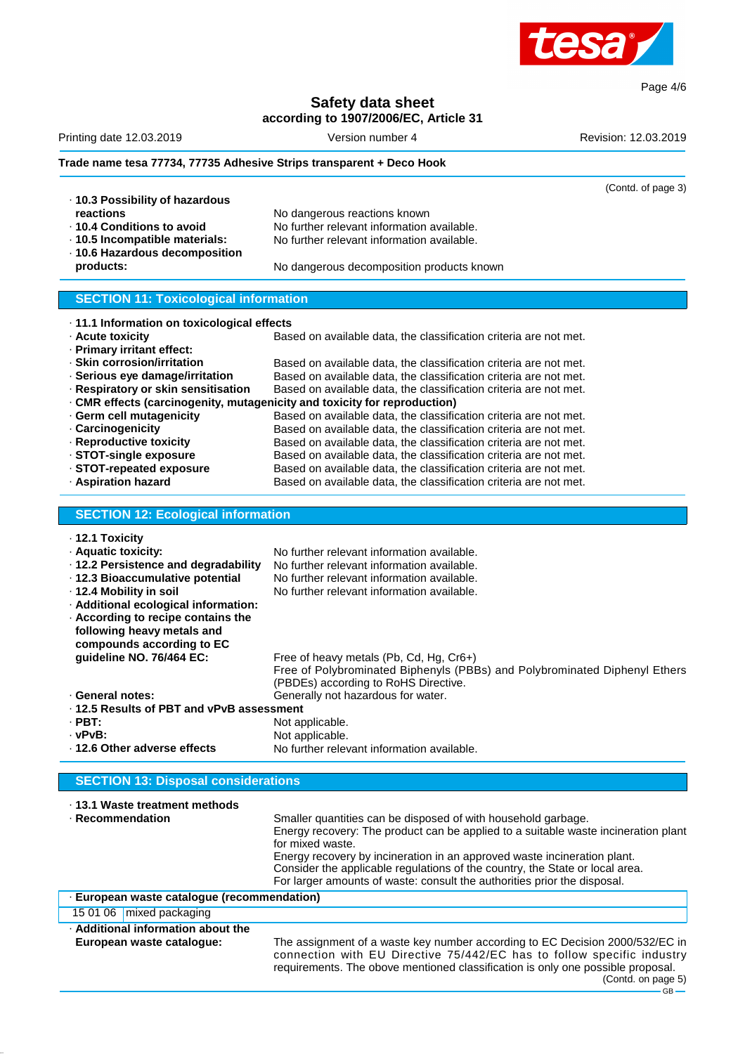

Page 4/6

**Safety data sheet**

**according to 1907/2006/EC, Article 31**

|                                                                           | according to 1907/2000/EC, Article 31                                              |                      |
|---------------------------------------------------------------------------|------------------------------------------------------------------------------------|----------------------|
| Printing date 12.03.2019                                                  | Version number 4                                                                   | Revision: 12.03.2019 |
| Trade name tesa 77734, 77735 Adhesive Strips transparent + Deco Hook      |                                                                                    |                      |
|                                                                           |                                                                                    | (Contd. of page 3)   |
| · 10.3 Possibility of hazardous                                           |                                                                                    |                      |
| reactions                                                                 | No dangerous reactions known                                                       |                      |
| ⋅ 10.4 Conditions to avoid                                                | No further relevant information available.                                         |                      |
| · 10.5 Incompatible materials:                                            | No further relevant information available.                                         |                      |
| · 10.6 Hazardous decomposition                                            |                                                                                    |                      |
| products:                                                                 | No dangerous decomposition products known                                          |                      |
|                                                                           |                                                                                    |                      |
| <b>SECTION 11: Toxicological information</b>                              |                                                                                    |                      |
| · 11.1 Information on toxicological effects                               |                                                                                    |                      |
| · Acute toxicity                                                          | Based on available data, the classification criteria are not met.                  |                      |
| · Primary irritant effect:                                                |                                                                                    |                      |
| · Skin corrosion/irritation                                               | Based on available data, the classification criteria are not met.                  |                      |
| · Serious eye damage/irritation                                           | Based on available data, the classification criteria are not met.                  |                      |
| · Respiratory or skin sensitisation                                       | Based on available data, the classification criteria are not met.                  |                      |
|                                                                           |                                                                                    |                      |
| · CMR effects (carcinogenity, mutagenicity and toxicity for reproduction) |                                                                                    |                      |
| · Germ cell mutagenicity                                                  | Based on available data, the classification criteria are not met.                  |                      |
| · Carcinogenicity                                                         | Based on available data, the classification criteria are not met.                  |                      |
| · Reproductive toxicity                                                   | Based on available data, the classification criteria are not met.                  |                      |
| · STOT-single exposure                                                    | Based on available data, the classification criteria are not met.                  |                      |
| · STOT-repeated exposure                                                  | Based on available data, the classification criteria are not met.                  |                      |
| · Aspiration hazard                                                       | Based on available data, the classification criteria are not met.                  |                      |
|                                                                           |                                                                                    |                      |
| <b>SECTION 12: Ecological information</b>                                 |                                                                                    |                      |
| · 12.1 Toxicity                                                           |                                                                                    |                      |
| · Aquatic toxicity:                                                       | No further relevant information available.                                         |                      |
| · 12.2 Persistence and degradability                                      | No further relevant information available.                                         |                      |
| · 12.3 Bioaccumulative potential                                          | No further relevant information available.                                         |                      |
| · 12.4 Mobility in soil                                                   | No further relevant information available.                                         |                      |
|                                                                           |                                                                                    |                      |
| · Additional ecological information:                                      |                                                                                    |                      |
| . According to recipe contains the                                        |                                                                                    |                      |
| following heavy metals and                                                |                                                                                    |                      |
| compounds according to EC                                                 |                                                                                    |                      |
| guideline NO. 76/464 EC:                                                  | Free of heavy metals (Pb, Cd, Hg, Cr6+)                                            |                      |
|                                                                           | Free of Polybrominated Biphenyls (PBBs) and Polybrominated Diphenyl Ethers         |                      |
|                                                                           | (PBDEs) according to RoHS Directive.                                               |                      |
| · General notes:                                                          | Generally not hazardous for water.                                                 |                      |
| ⋅ 12.5 Results of PBT and vPvB assessment                                 |                                                                                    |                      |
| $\cdot$ PBT:                                                              | Not applicable.                                                                    |                      |
| $\cdot$ vPvB:                                                             |                                                                                    |                      |
|                                                                           | Not applicable.                                                                    |                      |
| · 12.6 Other adverse effects                                              | No further relevant information available.                                         |                      |
| <b>SECTION 13: Disposal considerations</b>                                |                                                                                    |                      |
| ⋅ 13.1 Waste treatment methods                                            |                                                                                    |                      |
| · Recommendation                                                          |                                                                                    |                      |
|                                                                           | Smaller quantities can be disposed of with household garbage.                      |                      |
|                                                                           | Energy recovery: The product can be applied to a suitable waste incineration plant |                      |
|                                                                           | for mixed waste.                                                                   |                      |
|                                                                           | Energy recovery by incineration in an approved waste incineration plant.           |                      |
|                                                                           | Consider the applicable regulations of the country, the State or local area.       |                      |
|                                                                           | For larger amounts of waste: consult the authorities prior the disposal.           |                      |
| · European waste catalogue (recommendation)                               |                                                                                    |                      |
| 15 01 06   mixed packaging                                                |                                                                                    |                      |
| . Additional information about the                                        |                                                                                    |                      |
| European waste catalogue:                                                 | The assignment of a waste key number according to EC Decision 2000/532/EC in       |                      |
|                                                                           | connection with EU Directive 75/442/EC has to follow specific industry             |                      |
|                                                                           | requirements. The obove mentioned classification is only one possible proposal.    |                      |
|                                                                           |                                                                                    | (Contd. on page 5)   |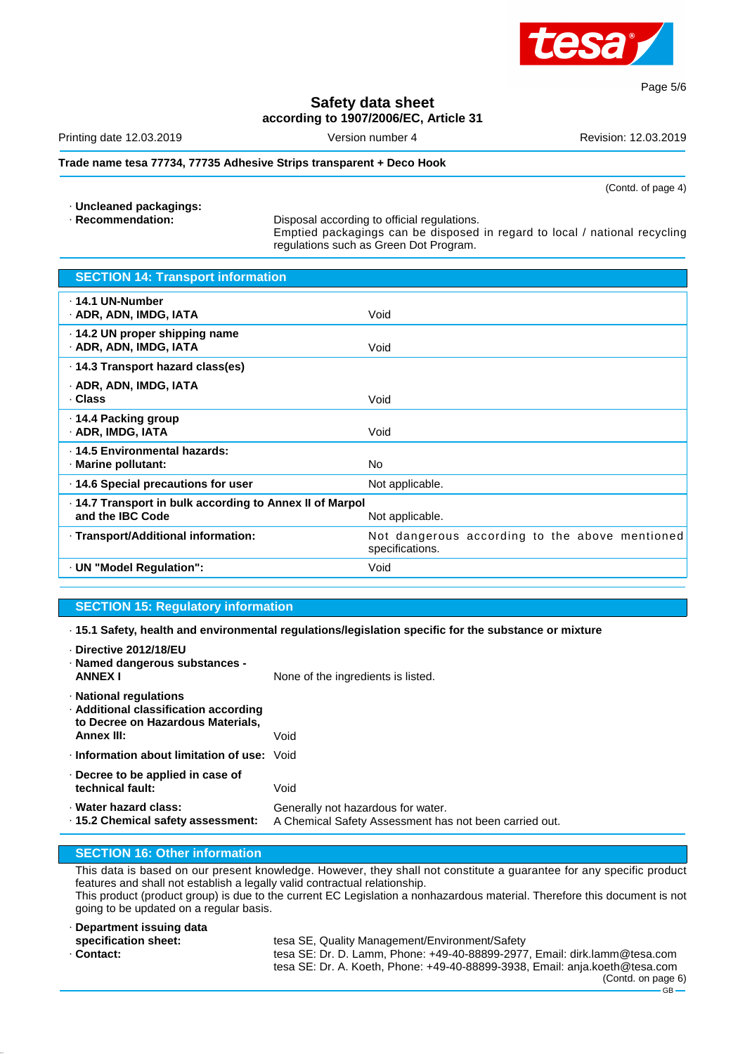

#### **Safety data sheet according to 1907/2006/EC, Article 31**

Printing date 12.03.2019 **Version number 4** Revision: 12.03.2019 **Revision: 12.03.2019** 

#### **Trade name tesa 77734, 77735 Adhesive Strips transparent + Deco Hook**

(Contd. of page 4)

Page 5/6

· **Uncleaned packagings:**

Disposal according to official regulations. Emptied packagings can be disposed in regard to local / national recycling regulations such as Green Dot Program.

| <b>SECTION 14: Transport information</b>                                     |                                                                   |
|------------------------------------------------------------------------------|-------------------------------------------------------------------|
| . 14.1 UN-Number<br>· ADR, ADN, IMDG, IATA                                   | Void                                                              |
| · 14.2 UN proper shipping name<br>· ADR, ADN, IMDG, IATA                     | Void                                                              |
| ⋅ 14.3 Transport hazard class(es)                                            |                                                                   |
| · ADR, ADN, IMDG, IATA<br>· Class                                            | Void                                                              |
| ⋅ 14.4 Packing group<br>· ADR, IMDG, IATA                                    | Void                                                              |
| · 14.5 Environmental hazards:<br>· Marine pollutant:                         | N <sub>o</sub>                                                    |
| 14.6 Special precautions for user                                            | Not applicable.                                                   |
| . 14.7 Transport in bulk according to Annex II of Marpol<br>and the IBC Code | Not applicable.                                                   |
| · Transport/Additional information:                                          | Not dangerous according to the above mentioned<br>specifications. |
| · UN "Model Regulation":                                                     | Void                                                              |
|                                                                              |                                                                   |

#### **SECTION 15: Regulatory information**

· **15.1 Safety, health and environmental regulations/legislation specific for the substance or mixture**

| Directive 2012/18/EU<br>· Named dangerous substances -<br><b>ANNEX I</b>                                                  | None of the ingredients is listed.                                                           |
|---------------------------------------------------------------------------------------------------------------------------|----------------------------------------------------------------------------------------------|
| · National regulations<br>· Additional classification according<br>to Decree on Hazardous Materials,<br><b>Annex III:</b> | Void                                                                                         |
| Information about limitation of use: Void                                                                                 |                                                                                              |
| $\cdot$ Decree to be applied in case of<br>technical fault:                                                               | Void                                                                                         |
| · Water hazard class:<br>⋅ 15.2 Chemical safety assessment:                                                               | Generally not hazardous for water.<br>A Chemical Safety Assessment has not been carried out. |
|                                                                                                                           |                                                                                              |

#### **SECTION 16: Other information**

This data is based on our present knowledge. However, they shall not constitute a guarantee for any specific product features and shall not establish a legally valid contractual relationship. This product (product group) is due to the current EC Legislation a nonhazardous material. Therefore this document is not going to be updated on a regular basis.

| · Department issuing data |                                                                             |
|---------------------------|-----------------------------------------------------------------------------|
| specification sheet:      | tesa SE, Quality Management/Environment/Safety                              |
| · Contact:                | tesa SE: Dr. D. Lamm, Phone: +49-40-88899-2977, Email: dirk.lamm@tesa.com   |
|                           | tesa SE: Dr. A. Koeth, Phone: +49-40-88899-3938, Email: anja.koeth@tesa.com |
|                           | (Contd. on page 6)                                                          |